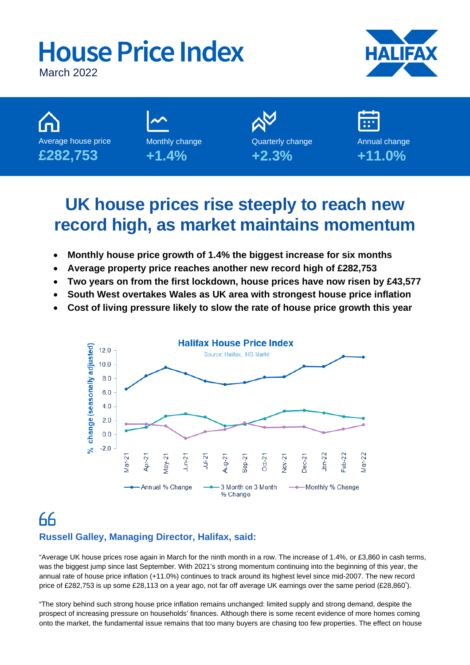# **House Price Index** March 2022



Average house price **£282,753** Monthly change **+1.4% +2.3%**

Quarterly change

Annual change **+11.0%**

# **UK house prices rise steeply to reach new record high, as market maintains momentum**

- **Monthly house price growth of 1.4% the biggest increase for six months**
- **Average property price reaches another new record high of £282,753**
- **Two years on from the first lockdown, house prices have now risen by £43,577**
- **South West overtakes Wales as UK area with strongest house price inflation**
- **Cost of living pressure likely to slow the rate of house price growth this year**



## 66 **Russell Galley, Managing Director, Halifax, said:**

"Average UK house prices rose again in March for the ninth month in a row. The increase of 1.4%, or £3,860 in cash terms, was the biggest jump since last September. With 2021's strong momentum continuing into the beginning of this year, the annual rate of house price inflation (+11.0%) continues to track around its highest level since mid-2007. The new record price of £282,753 is up some £28,113 on a year ago, not far off average UK earnings over the same period (£28,860<sup>\*</sup>).

"The story behind such strong house price inflation remains unchanged: limited supply and strong demand, despite the prospect of increasing pressure on households' finances. Although there is some recent evidence of more homes coming onto the market, the fundamental issue remains that too many buyers are chasing too few properties. The effect on house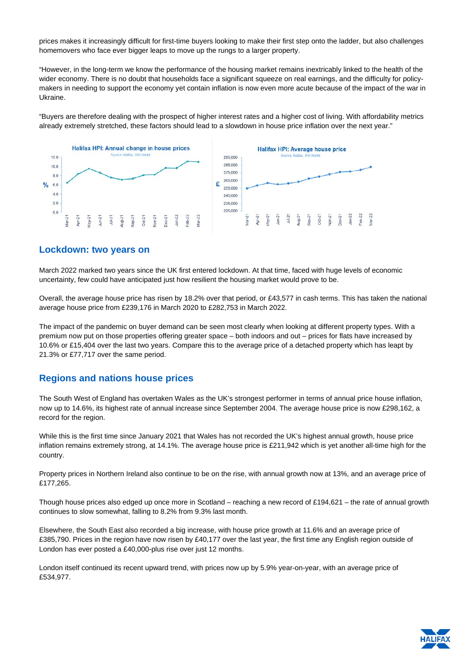prices makes it increasingly difficult for first-time buyers looking to make their first step onto the ladder, but also challenges homemovers who face ever bigger leaps to move up the rungs to a larger property.

"However, in the long-term we know the performance of the housing market remains inextricably linked to the health of the wider economy. There is no doubt that households face a significant squeeze on real earnings, and the difficulty for policymakers in needing to support the economy yet contain inflation is now even more acute because of the impact of the war in Ukraine.

"Buyers are therefore dealing with the prospect of higher interest rates and a higher cost of living. With affordability metrics already extremely stretched, these factors should lead to a slowdown in house price inflation over the next year."



### **Lockdown: two years on**

March 2022 marked two years since the UK first entered lockdown. At that time, faced with huge levels of economic uncertainty, few could have anticipated just how resilient the housing market would prove to be.

Overall, the average house price has risen by 18.2% over that period, or £43,577 in cash terms. This has taken the national average house price from £239,176 in March 2020 to £282,753 in March 2022.

The impact of the pandemic on buyer demand can be seen most clearly when looking at different property types. With a premium now put on those properties offering greater space – both indoors and out – prices for flats have increased by 10.6% or £15,404 over the last two years. Compare this to the average price of a detached property which has leapt by 21.3% or £77,717 over the same period.

### **Regions and nations house prices**

The South West of England has overtaken Wales as the UK's strongest performer in terms of annual price house inflation, now up to 14.6%, its highest rate of annual increase since September 2004. The average house price is now £298,162, a record for the region.

While this is the first time since January 2021 that Wales has not recorded the UK's highest annual growth, house price inflation remains extremely strong, at 14.1%. The average house price is £211,942 which is yet another all-time high for the country.

Property prices in Northern Ireland also continue to be on the rise, with annual growth now at 13%, and an average price of £177,265.

Though house prices also edged up once more in Scotland – reaching a new record of £194,621 – the rate of annual growth continues to slow somewhat, falling to 8.2% from 9.3% last month.

Elsewhere, the South East also recorded a big increase, with house price growth at 11.6% and an average price of £385,790. Prices in the region have now risen by £40,177 over the last year, the first time any English region outside of London has ever posted a £40,000-plus rise over just 12 months.

London itself continued its recent upward trend, with prices now up by 5.9% year-on-year, with an average price of £534,977.

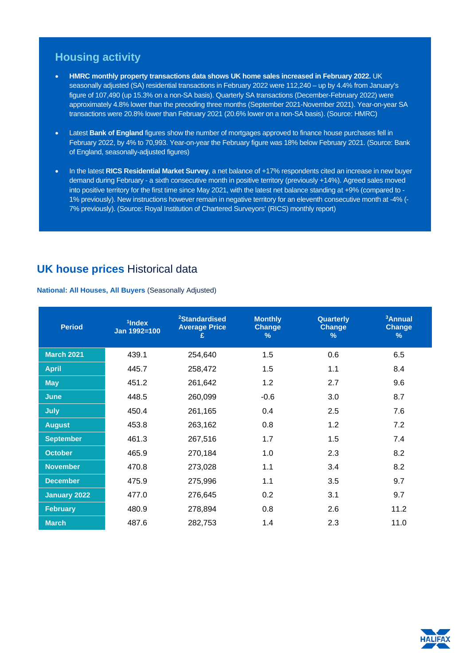### **Housing activity**

- **HMRC monthly property transactions data shows UK home sales increased in February 2022.** UK seasonally adjusted (SA) residential transactions in February 2022 were 112,240 – up by 4.4% from January's figure of 107,490 (up 15.3% on a non-SA basis). Quarterly SA transactions (December-February 2022) were approximately 4.8% lower than the preceding three months (September 2021-November 2021). Year-on-year SA transactions were 20.8% lower than February 2021 (20.6% lower on a non-SA basis). (Source: HMRC)
- Latest **Bank of England** figures show the number of mortgages approved to finance house purchases fell in February 2022, by 4% to 70,993. Year-on-year the February figure was 18% below February 2021. (Source: Bank of England, seasonally-adjusted figures)
- In the latest **RICS Residential Market Survey**, a net balance of +17% respondents cited an increase in new buyer demand during February - a sixth consecutive month in positive territory (previously +14%). Agreed sales moved into positive territory for the first time since May 2021, with the latest net balance standing at +9% (compared to - 1% previously). New instructions however remain in negative territory for an eleventh consecutive month at -4% (- 7% previously). (Source: Royal Institution of Chartered Surveyors' (RICS) monthly report)

### **UK house prices** Historical data

### **National: All Houses, All Buyers** (Seasonally Adjusted)

| <b>Period</b>       | <sup>1</sup> Index<br>Jan 1992=100 | <sup>2</sup> Standardised<br><b>Average Price</b><br>£ | <b>Monthly</b><br><b>Change</b><br>% | Quarterly<br><b>Change</b><br>% | <sup>3</sup> Annual<br><b>Change</b><br>$\%$ |
|---------------------|------------------------------------|--------------------------------------------------------|--------------------------------------|---------------------------------|----------------------------------------------|
| <b>March 2021</b>   | 439.1                              | 254,640                                                | 1.5                                  | 0.6                             | 6.5                                          |
| <b>April</b>        | 445.7                              | 258,472                                                | 1.5                                  | 1.1                             | 8.4                                          |
| <b>May</b>          | 451.2                              | 261,642                                                | 1.2                                  | 2.7                             | 9.6                                          |
| <b>June</b>         | 448.5                              | 260,099                                                | $-0.6$                               | 3.0                             | 8.7                                          |
| <b>July</b>         | 450.4                              | 261,165                                                | 0.4                                  | 2.5                             | 7.6                                          |
| <b>August</b>       | 453.8                              | 263,162                                                | 0.8                                  | 1.2                             | 7.2                                          |
| <b>September</b>    | 461.3                              | 267,516                                                | 1.7                                  | 1.5                             | 7.4                                          |
| <b>October</b>      | 465.9                              | 270,184                                                | 1.0                                  | 2.3                             | 8.2                                          |
| <b>November</b>     | 470.8                              | 273,028                                                | 1.1                                  | 3.4                             | 8.2                                          |
| <b>December</b>     | 475.9                              | 275,996                                                | 1.1                                  | 3.5                             | 9.7                                          |
| <b>January 2022</b> | 477.0                              | 276,645                                                | 0.2                                  | 3.1                             | 9.7                                          |
| <b>February</b>     | 480.9                              | 278,894                                                | 0.8                                  | 2.6                             | 11.2                                         |
| <b>March</b>        | 487.6                              | 282,753                                                | 1.4                                  | 2.3                             | 11.0                                         |